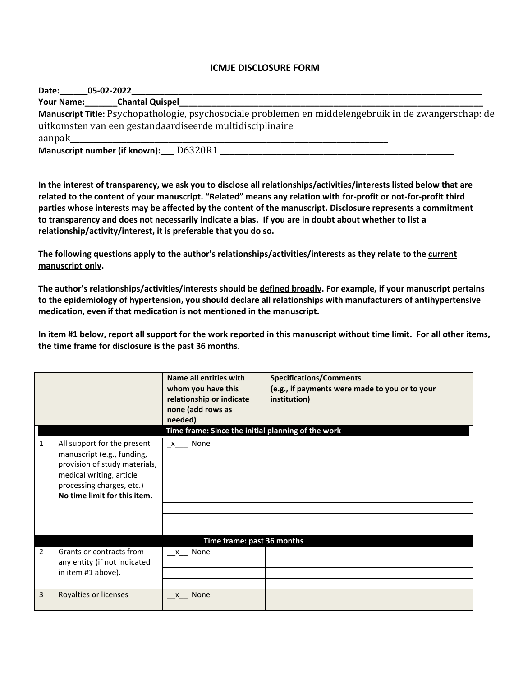## **ICMJE DISCLOSURE FORM**

| Date:             | 05-02-2022                                                                                                                                                        |  |  |  |
|-------------------|-------------------------------------------------------------------------------------------------------------------------------------------------------------------|--|--|--|
| <b>Your Name:</b> | <b>Chantal Quispel</b>                                                                                                                                            |  |  |  |
|                   | Manuscript Title: Psychopathologie, psychosociale problemen en middelengebruik in de zwangerschap: de<br>uitkomsten van een gestandaardiseerde multidisciplinaire |  |  |  |
| aanpak            |                                                                                                                                                                   |  |  |  |
|                   | D6320R1<br>Manuscript number (if known):                                                                                                                          |  |  |  |

**In the interest of transparency, we ask you to disclose all relationships/activities/interests listed below that are related to the content of your manuscript. "Related" means any relation with for-profit or not-for-profit third parties whose interests may be affected by the content of the manuscript. Disclosure represents a commitment to transparency and does not necessarily indicate a bias. If you are in doubt about whether to list a relationship/activity/interest, it is preferable that you do so.** 

**The following questions apply to the author's relationships/activities/interests as they relate to the current manuscript only.**

**The author's relationships/activities/interests should be defined broadly. For example, if your manuscript pertains to the epidemiology of hypertension, you should declare all relationships with manufacturers of antihypertensive medication, even if that medication is not mentioned in the manuscript.** 

**In item #1 below, report all support for the work reported in this manuscript without time limit. For all other items, the time frame for disclosure is the past 36 months.** 

|   |                                                                                                                                                                                     | Name all entities with<br>whom you have this<br>relationship or indicate<br>none (add rows as<br>needed)<br>Time frame: Since the initial planning of the work | <b>Specifications/Comments</b><br>(e.g., if payments were made to you or to your<br>institution) |  |  |  |
|---|-------------------------------------------------------------------------------------------------------------------------------------------------------------------------------------|----------------------------------------------------------------------------------------------------------------------------------------------------------------|--------------------------------------------------------------------------------------------------|--|--|--|
| 1 | All support for the present<br>manuscript (e.g., funding,<br>provision of study materials,<br>medical writing, article<br>processing charges, etc.)<br>No time limit for this item. | $x$ <sub>__</sub> None                                                                                                                                         |                                                                                                  |  |  |  |
|   | Time frame: past 36 months                                                                                                                                                          |                                                                                                                                                                |                                                                                                  |  |  |  |
| 2 | Grants or contracts from<br>any entity (if not indicated<br>in item #1 above).                                                                                                      | x None                                                                                                                                                         |                                                                                                  |  |  |  |
| 3 | Royalties or licenses                                                                                                                                                               | None<br>$\mathsf{X}$                                                                                                                                           |                                                                                                  |  |  |  |